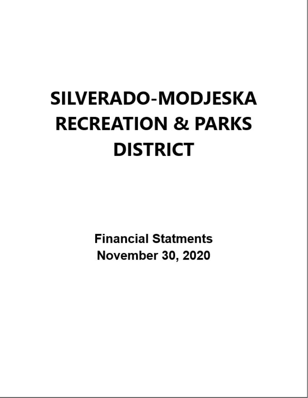# **SILVERADO-MODJESKA RECREATION & PARKS DISTRICT**

**Financial Statments November 30, 2020**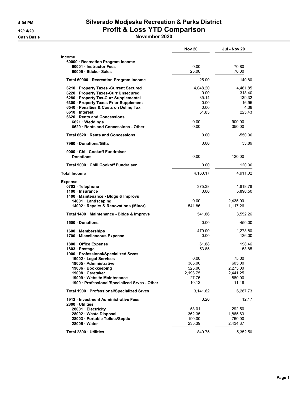#### 4:04 PM Silverado Modjeska Recreation & Parks District 12/14/20 **Profit & Loss YTD Comparison**

Cash Basis November 2020

|                                                                                                                                                                                                                                                                                        | <b>Nov 20</b>                                              | <b>Jul - Nov 20</b>                                                  |
|----------------------------------------------------------------------------------------------------------------------------------------------------------------------------------------------------------------------------------------------------------------------------------------|------------------------------------------------------------|----------------------------------------------------------------------|
| Income                                                                                                                                                                                                                                                                                 |                                                            |                                                                      |
| 60000 · Recreation Program Income<br>60001 Instructor Fees<br>60005 · Sticker Sales                                                                                                                                                                                                    | 0.00<br>25.00                                              | 70.80<br>70.00                                                       |
| Total 60000 · Recreation Program Income                                                                                                                                                                                                                                                | 25.00                                                      | 140.80                                                               |
| 6210 · Property Taxes -Current Secured<br>6220 · Property Taxes-Curr Unsecured<br>6280 · Property Tax-Curr Supplemental<br>6300 · Property Taxes-Prior Supplement<br>6540 · Penalties & Costs on Deling Tax<br>6610 Interest<br>6620 · Rents and Concessions<br>$6621 \cdot W$ eddings | 4,048.20<br>0.00<br>35.14<br>0.00<br>0.00<br>51.83<br>0.00 | 4,461.85<br>318.40<br>139.32<br>16.95<br>4.38<br>225.43<br>$-900.00$ |
| 6620 · Rents and Concessions - Other                                                                                                                                                                                                                                                   | 0.00                                                       | 350.00                                                               |
| Total 6620 · Rents and Concessions                                                                                                                                                                                                                                                     | 0.00                                                       | $-550.00$                                                            |
| 7960 Donations/Gifts                                                                                                                                                                                                                                                                   | 0.00                                                       | 33.89                                                                |
| 9000 Chili Cookoff Fundraiser<br><b>Donations</b>                                                                                                                                                                                                                                      | 0.00                                                       | 120.00                                                               |
| Total 9000 . Chili Cookoff Fundraiser                                                                                                                                                                                                                                                  | 0.00                                                       | 120.00                                                               |
| <b>Total Income</b>                                                                                                                                                                                                                                                                    | 4,160.17                                                   | 4,911.02                                                             |
| <b>Expense</b>                                                                                                                                                                                                                                                                         |                                                            |                                                                      |
| 0702 · Telephone<br>1100 · Insurance<br>1400 · Maintenance - Bldgs & Improvs                                                                                                                                                                                                           | 375.38<br>0.00                                             | 1,818.78<br>5,890.50                                                 |
| 14001 · Landscaping<br>14002 · Repairs & Renovations (Minor)                                                                                                                                                                                                                           | 0.00<br>541.86                                             | 2,435.00<br>1,117.26                                                 |
| Total 1400 · Maintenance - Bldgs & Improvs                                                                                                                                                                                                                                             | 541.86                                                     | 3,552.26                                                             |
| 1500 Donations                                                                                                                                                                                                                                                                         | 0.00                                                       | $-450.00$                                                            |
| 1600 Memberships<br>1700 · Miscellaneous Expense                                                                                                                                                                                                                                       | 479.00<br>0.00                                             | 1,278.80<br>136.00                                                   |
| 1800 Office Expense<br>1803 · Postage<br>1900 · Professional/Specialized Srvcs                                                                                                                                                                                                         | 61.88<br>53.85                                             | 198.46<br>53.85                                                      |
| 19002 · Legal Services<br>19005 · Administrative<br>19006 · Bookkeeping<br>19008 · Caretaker<br>19009 · Website Maintenance<br>1900 · Professional/Specialized Srvcs - Other                                                                                                           | 0.00<br>385.00<br>525.00<br>2,193.75<br>27.75<br>10.12     | 75.00<br>605.00<br>2,275.00<br>2,441.25<br>880.00<br>11.48           |
| Total 1900 · Professional/Specialized Srvcs                                                                                                                                                                                                                                            | 3,141.62                                                   | 6,287.73                                                             |
| 1912 · Investment Administrative Fees<br>2800 Utilities                                                                                                                                                                                                                                | 3.20                                                       | 12.17                                                                |
| 28001 · Electricity<br>28002 · Waste Disposal<br>28003 · Portable Toilets/Septic<br>28005 · Water                                                                                                                                                                                      | 53.01<br>362.35<br>190.00<br>235.39                        | 292.50<br>1,865.63<br>760.00<br>2,434.37                             |
| Total 2800 · Utilities                                                                                                                                                                                                                                                                 | 840.75                                                     | 5,352.50                                                             |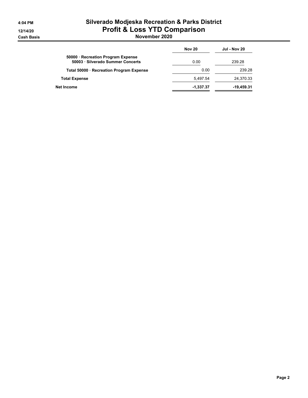#### 4:04 PM Silverado Modjeska Recreation & Parks District 12/14/20 **Profit & Loss YTD Comparison**

Cash Basis November 2020

|                                                                         | <b>Nov 20</b> | <b>Jul - Nov 20</b> |
|-------------------------------------------------------------------------|---------------|---------------------|
| 50000 · Recreation Program Expense<br>50003 · Silverado Summer Concerts | 0.00          | 239.28              |
| Total 50000 · Recreation Program Expense                                | 0.00          | 239.28              |
| <b>Total Expense</b>                                                    | 5.497.54      | 24.370.33           |
| Net Income                                                              | $-1.337.37$   | $-19.459.31$        |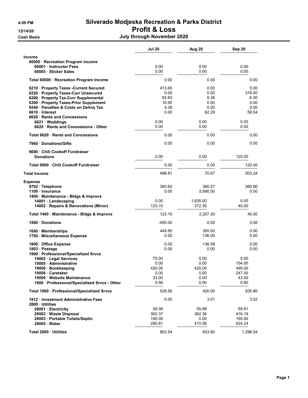#### 4:09 PM Silverado Modjeska Recreation & Parks District 12/14/20 Profit & Loss

Cash Basis July through November 2020

|                                                                                                                                                                                                                                                                                | Jul 20                                                   | Aug 20                                                | Sep 20                                                  |
|--------------------------------------------------------------------------------------------------------------------------------------------------------------------------------------------------------------------------------------------------------------------------------|----------------------------------------------------------|-------------------------------------------------------|---------------------------------------------------------|
| <b>Income</b>                                                                                                                                                                                                                                                                  |                                                          |                                                       |                                                         |
| 60000 · Recreation Program Income<br>60001 Instructor Fees<br>60005 · Sticker Sales                                                                                                                                                                                            | 0.00<br>0.00                                             | 0.00<br>0.00                                          | 0.00<br>0.00                                            |
| Total 60000 · Recreation Program Income                                                                                                                                                                                                                                        | 0.00                                                     | 0.00                                                  | 0.00                                                    |
| 6210 · Property Taxes - Current Secured<br>6220 · Property Taxes-Curr Unsecured<br>6280 · Property Tax-Curr Supplemental<br>6300 · Property Taxes-Prior Supplement<br>6540 · Penalties & Costs on Deling Tax<br>6610 Interest<br>6620 Rents and Concessions<br>6621 · Weddings | 413.65<br>0.00<br>63.83<br>16.95<br>4.38<br>0.00<br>0.00 | 0.00<br>0.00<br>8.38<br>0.00<br>0.00<br>62.29<br>0.00 | 0.00<br>318.40<br>6.30<br>0.00<br>0.00<br>58.54<br>0.00 |
| 6620 · Rents and Concessions - Other                                                                                                                                                                                                                                           | 0.00                                                     | 0.00                                                  | 0.00                                                    |
| Total 6620 · Rents and Concessions                                                                                                                                                                                                                                             | 0.00                                                     | 0.00                                                  | 0.00                                                    |
| 7960 Donations/Gifts                                                                                                                                                                                                                                                           | 0.00                                                     | 0.00                                                  | 0.00                                                    |
| 9000 Chili Cookoff Fundraiser                                                                                                                                                                                                                                                  |                                                          |                                                       |                                                         |
| <b>Donations</b>                                                                                                                                                                                                                                                               | 0.00                                                     | 0.00                                                  | 120.00                                                  |
| Total 9000 · Chili Cookoff Fundraiser                                                                                                                                                                                                                                          | 0.00                                                     | 0.00                                                  | 120.00                                                  |
| <b>Total Income</b>                                                                                                                                                                                                                                                            | 498.81                                                   | 70.67                                                 | 503.24                                                  |
| <b>Expense</b><br>0702 · Telephone<br>1100 · Insurance<br>1400 · Maintenance - Bldgs & Improvs                                                                                                                                                                                 | 360.62<br>0.00                                           | 360.57<br>5,890.50                                    | 360.80<br>0.00                                          |
| 14001 Landscaping<br>14002 · Repairs & Renovations (Minor)                                                                                                                                                                                                                     | 0.00<br>123.10                                           | 1,835.00<br>372.30                                    | 0.00<br>40.00                                           |
| Total 1400 · Maintenance - Bldgs & Improvs                                                                                                                                                                                                                                     | 123.10                                                   | 2,207.30                                              | 40.00                                                   |
| 1500 Donations                                                                                                                                                                                                                                                                 | -450.00                                                  | 0.00                                                  | 0.00                                                    |
| 1600 Memberships<br>1700 Miscellaneous Expense                                                                                                                                                                                                                                 | 449.80<br>0.00                                           | 350.00<br>136.00                                      | 0.00<br>0.00                                            |
| 1800 Office Expense<br>1803 · Postage<br>1900 · Professional/Specialized Srvcs                                                                                                                                                                                                 | 0.00<br>0.00                                             | 136.58<br>0.00                                        | 0.00<br>0.00                                            |
| 19002 · Legal Services<br>19005 Administrative<br>19006 · Bookkeeping<br>19008 Caretaker<br>19009 Website Maintenance<br>1900 · Professional/Specialized Srvcs - Other                                                                                                         | 75.00<br>0.00<br>420.00<br>0.00<br>33.00<br>0.56         | 0.00<br>0.00<br>420.00<br>0.00<br>0.00<br>0.00        | 0.00<br>154.00<br>490.00<br>247.50<br>43.50<br>0.80     |
| Total 1900 · Professional/Specialized Srvcs                                                                                                                                                                                                                                    | 528.56                                                   | 420.00                                                | 935.80                                                  |
| 1912 Investment Administrative Fees                                                                                                                                                                                                                                            | 0.00                                                     | 3.01                                                  | 3.02                                                    |
| 2800 · Utilities<br>28001 · Electricity<br>28002 · Waste Disposal<br>28003 · Portable Toilets/Septic<br>28005 Water                                                                                                                                                            | 59.36<br>362.37<br>190.00<br>290.81                      | 55.88<br>362.36<br>0.00<br>415.56                     | 65.61<br>416.19<br>190.00<br>624.24                     |
| Total 2800 · Utilities                                                                                                                                                                                                                                                         | 902.54                                                   | 833.80                                                | 1,296.04                                                |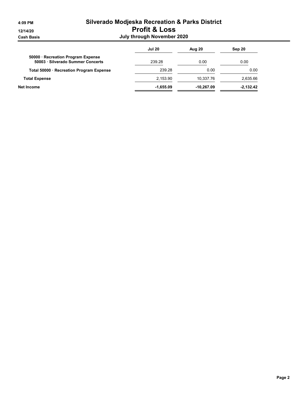#### 4:09 PM Silverado Modjeska Recreation & Parks District 12/14/20 Profit & Loss Cash Basis July through November 2020

|                                                                         | <b>Jul 20</b> | Aug 20       | Sep 20      |
|-------------------------------------------------------------------------|---------------|--------------|-------------|
| 50000 · Recreation Program Expense<br>50003 · Silverado Summer Concerts | 239.28        | 0.00         | 0.00        |
| Total 50000 · Recreation Program Expense                                | 239.28        | 0.00         | 0.00        |
| <b>Total Expense</b>                                                    | 2,153.90      | 10,337.76    | 2,635.66    |
| Net Income                                                              | $-1,655.09$   | $-10.267.09$ | $-2.132.42$ |
|                                                                         |               |              |             |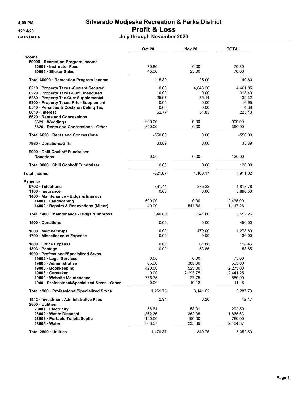#### 4:09 PM Silverado Modjeska Recreation & Parks District 12/14/20 Profit & Loss

Cash Basis July through November 2020

|                                                                                                                                                                                                                                                                                       | <b>Oct 20</b>                                               | <b>Nov 20</b>                                              | <b>TOTAL</b>                                                         |
|---------------------------------------------------------------------------------------------------------------------------------------------------------------------------------------------------------------------------------------------------------------------------------------|-------------------------------------------------------------|------------------------------------------------------------|----------------------------------------------------------------------|
| <b>Income</b>                                                                                                                                                                                                                                                                         |                                                             |                                                            |                                                                      |
| 60000 · Recreation Program Income<br>60001 Instructor Fees<br>60005 · Sticker Sales                                                                                                                                                                                                   | 70.80<br>45.00                                              | 0.00<br>25.00                                              | 70.80<br>70.00                                                       |
| Total 60000 · Recreation Program Income                                                                                                                                                                                                                                               | 115.80                                                      | 25.00                                                      | 140.80                                                               |
| 6210 Property Taxes - Current Secured<br>6220 · Property Taxes-Curr Unsecured<br>6280 · Property Tax-Curr Supplemental<br>6300 · Property Taxes-Prior Supplement<br>6540 · Penalties & Costs on Deling Tax<br>6610 Interest<br>6620 · Rents and Concessions<br>$6621 \cdot W$ eddings | 0.00<br>0.00<br>25.67<br>0.00<br>0.00<br>52.77<br>$-900.00$ | 4,048.20<br>0.00<br>35.14<br>0.00<br>0.00<br>51.83<br>0.00 | 4,461.85<br>318.40<br>139.32<br>16.95<br>4.38<br>225.43<br>$-900.00$ |
| 6620 · Rents and Concessions - Other                                                                                                                                                                                                                                                  | 350.00                                                      | 0.00                                                       | 350.00                                                               |
| Total 6620 Rents and Concessions                                                                                                                                                                                                                                                      | $-550.00$                                                   | 0.00                                                       | $-550.00$                                                            |
| 7960 Donations/Gifts                                                                                                                                                                                                                                                                  | 33.89                                                       | 0.00                                                       | 33.89                                                                |
| 9000 Chili Cookoff Fundraiser                                                                                                                                                                                                                                                         |                                                             |                                                            |                                                                      |
| <b>Donations</b>                                                                                                                                                                                                                                                                      | 0.00                                                        | 0.00                                                       | 120.00                                                               |
| Total 9000 Chili Cookoff Fundraiser                                                                                                                                                                                                                                                   | 0.00                                                        | 0.00                                                       | 120.00                                                               |
| <b>Total Income</b>                                                                                                                                                                                                                                                                   | $-321.87$                                                   | 4,160.17                                                   | 4,911.02                                                             |
| <b>Expense</b><br>0702 · Telephone<br>1100 Insurance<br>1400 · Maintenance - Bldgs & Improvs<br>14001 · Landscaping                                                                                                                                                                   | 361.41<br>0.00<br>600.00                                    | 375.38<br>0.00<br>0.00                                     | 1,818.78<br>5,890.50<br>2,435.00                                     |
| 14002 · Repairs & Renovations (Minor)                                                                                                                                                                                                                                                 | 40.00                                                       | 541.86                                                     | 1,117.26                                                             |
| Total 1400 · Maintenance - Bldgs & Improvs                                                                                                                                                                                                                                            | 640.00                                                      | 541.86                                                     | 3,552.26                                                             |
| 1500 Donations                                                                                                                                                                                                                                                                        | 0.00                                                        | 0.00                                                       | -450.00                                                              |
| 1600 · Memberships<br>1700 Miscellaneous Expense                                                                                                                                                                                                                                      | 0.00<br>0.00                                                | 479.00<br>0.00                                             | 1,278.80<br>136.00                                                   |
| 1800 Office Expense<br>1803 · Postage<br>1900 · Professional/Specialized Srvcs                                                                                                                                                                                                        | 0.00<br>0.00                                                | 61.88<br>53.85                                             | 198.46<br>53.85                                                      |
| 19002 · Legal Services<br>19005 · Administrative<br>19006 · Bookkeeping<br>19008 Caretaker<br>19009 · Website Maintenance<br>1900 · Professional/Specialized Srvcs - Other                                                                                                            | 0.00<br>66.00<br>420.00<br>0.00<br>775.75<br>0.00           | 0.00<br>385.00<br>525.00<br>2,193.75<br>27.75<br>10.12     | 75.00<br>605.00<br>2,275.00<br>2,441.25<br>880.00<br>11.48           |
| Total 1900 · Professional/Specialized Srvcs                                                                                                                                                                                                                                           | 1,261.75                                                    | 3,141.62                                                   | 6,287.73                                                             |
| 1912 Investment Administrative Fees<br>2800 Utilities                                                                                                                                                                                                                                 | 2.94                                                        | 3.20                                                       | 12.17                                                                |
| 28001 · Electricity<br>28002 · Waste Disposal<br>28003 · Portable Toilets/Septic<br>28005 Water                                                                                                                                                                                       | 58.64<br>362.36<br>190.00<br>868.37                         | 53.01<br>362.35<br>190.00<br>235.39                        | 292.50<br>1,865.63<br>760.00<br>2,434.37                             |
| Total 2800 · Utilities                                                                                                                                                                                                                                                                | 1,479.37                                                    | 840.75                                                     | 5,352.50                                                             |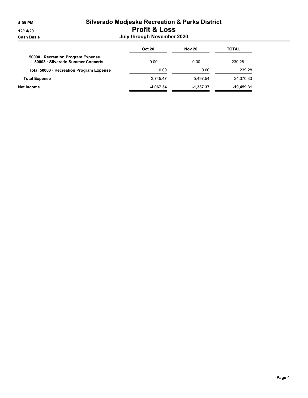#### 4:09 PM Silverado Modjeska Recreation & Parks District 12/14/20 Profit & Loss Cash Basis July through November 2020

| <b>Oct 20</b> | <b>Nov 20</b> | <b>TOTAL</b> |
|---------------|---------------|--------------|
| 0.00          | 0.00          | 239.28       |
| 0.00          | 0.00          | 239.28       |
| 3.745.47      | 5.497.54      | 24.370.33    |
| -4.067.34     | $-1,337.37$   | $-19,459.31$ |
|               |               |              |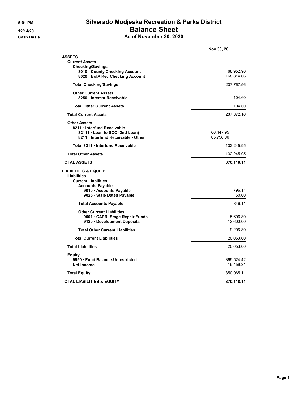#### 5:01 PM Silverado Modjeska Recreation & Parks District 12/14/20 **Balance Sheet Cash Basis** Cash Basis **As of November 30, 2020**

|                                                                                                                                                                         | Nov 30, 20                 |
|-------------------------------------------------------------------------------------------------------------------------------------------------------------------------|----------------------------|
| <b>ASSETS</b><br><b>Current Assets</b><br><b>Checking/Savings</b><br>8010 County Checking Account                                                                       | 68,952.90                  |
| 8020 BofA Rec Checking Account                                                                                                                                          | 168,814.66                 |
| <b>Total Checking/Savings</b>                                                                                                                                           | 237,767.56                 |
| <b>Other Current Assets</b><br>8250 Interest Receivable                                                                                                                 | 104.60                     |
| <b>Total Other Current Assets</b>                                                                                                                                       | 104.60                     |
| <b>Total Current Assets</b>                                                                                                                                             | 237,872.16                 |
| <b>Other Assets</b><br>8211 · Interfund Receivable<br>82111 Loan to SCC (2nd Loan)<br>8211 Interfund Receivable - Other                                                 | 66,447.95<br>65,798.00     |
| Total 8211 · Interfund Receivable                                                                                                                                       | 132,245.95                 |
| <b>Total Other Assets</b>                                                                                                                                               | 132,245.95                 |
| <b>TOTAL ASSETS</b>                                                                                                                                                     | 370,118.11                 |
| <b>LIABILITIES &amp; EQUITY</b><br><b>Liabilities</b><br><b>Current Liabilities</b><br><b>Accounts Payable</b><br>9010 · Accounts Payable<br>9025 · Stale Dated Payable | 796.11<br>50.00            |
| <b>Total Accounts Payable</b>                                                                                                                                           | 846.11                     |
| <b>Other Current Liabilities</b><br>9001 · CAPRI Stage Repair Funds<br>9120 · Development Deposits                                                                      | 5,606.89<br>13,600.00      |
| <b>Total Other Current Liabilities</b>                                                                                                                                  | 19,206.89                  |
| <b>Total Current Liabilities</b>                                                                                                                                        | 20,053.00                  |
| <b>Total Liabilities</b>                                                                                                                                                | 20,053.00                  |
| <b>Equity</b><br>9990 Fund Balance-Unrestricted<br><b>Net Income</b>                                                                                                    | 369,524.42<br>$-19,459.31$ |
| <b>Total Equity</b>                                                                                                                                                     | 350,065.11                 |
| <b>TOTAL LIABILITIES &amp; EQUITY</b>                                                                                                                                   | 370,118.11                 |
|                                                                                                                                                                         |                            |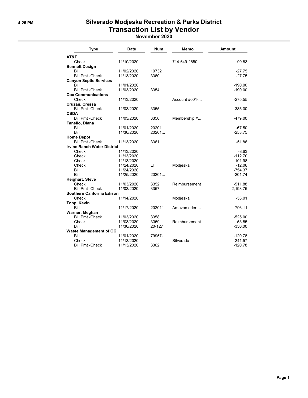## 4:25 PM Silverado Modjeska Recreation & Parks District Transaction List by Vendor

| November 2020 |  |
|---------------|--|
|---------------|--|

| <b>Type</b>                        | <b>Date</b> | <b>Num</b> | Memo          | Amount      |
|------------------------------------|-------------|------------|---------------|-------------|
| AT&T                               |             |            |               |             |
| Check                              | 11/10/2020  |            | 714-649-2850  | $-99.83$    |
| <b>Bennett Design</b>              |             |            |               |             |
| Bill                               | 11/02/2020  | 10732      |               | $-27.75$    |
| <b>Bill Pmt - Check</b>            | 11/13/2020  | 3360       |               | $-27.75$    |
| <b>Canyon Septic Services</b>      |             |            |               |             |
| Bill                               | 11/01/2020  |            |               | $-190.00$   |
| <b>Bill Pmt -Check</b>             | 11/03/2020  | 3354       |               | $-190.00$   |
| <b>Cox Communications</b>          |             |            |               |             |
| Check                              | 11/13/2020  |            | Account #001- | $-275.55$   |
| Cruzan, Cressa                     |             |            |               |             |
| <b>Bill Pmt -Check</b>             | 11/03/2020  | 3355       |               | $-385.00$   |
| <b>CSDA</b>                        |             |            |               |             |
| <b>Bill Pmt - Check</b>            | 11/03/2020  | 3356       | Membership #  | $-479.00$   |
| Fanello, Diana                     |             |            |               |             |
| Bill                               | 11/01/2020  | 20201      |               | $-67.50$    |
| Bill                               | 11/30/2020  | 20201      |               | $-258.75$   |
| <b>Home Depot</b>                  |             |            |               |             |
| <b>Bill Pmt - Check</b>            | 11/13/2020  | 3361       |               | $-51.86$    |
| <b>Irvine Ranch Water District</b> |             |            |               |             |
| Check                              | 11/13/2020  |            |               | $-8.63$     |
| Check                              | 11/13/2020  |            |               | $-112.70$   |
| Check                              | 11/13/2020  |            |               | $-101.98$   |
| Check                              | 11/24/2020  | <b>EFT</b> | Modjeska      | $-12.08$    |
| Bill                               | 11/24/2020  |            |               | $-754.37$   |
| Bill                               | 11/25/2020  | 20201      |               | $-201.74$   |
| <b>Reighart, Steve</b>             |             |            |               |             |
| Check                              | 11/03/2020  | 3352       | Reimbursement | $-511.88$   |
| <b>Bill Pmt - Check</b>            | 11/03/2020  | 3357       |               | $-2,193.75$ |
| <b>Southern California Edison</b>  |             |            |               |             |
| Check                              | 11/14/2020  |            | Modjeska      | $-53.01$    |
| Topp, Kevin                        |             |            |               |             |
| Bill                               | 11/17/2020  | 202011     | Amazon oder   | $-796.11$   |
| Warner, Meghan                     |             |            |               |             |
| <b>Bill Pmt - Check</b>            | 11/03/2020  | 3358       |               | $-525.00$   |
| Check                              | 11/03/2020  | 3359       | Reimbursement | $-53.85$    |
| Bill                               | 11/30/2020  | 20-127     |               | $-350.00$   |
| <b>Waste Management of OC</b>      |             |            |               |             |
| Bill                               | 11/01/2020  | 79957-     |               | $-120.78$   |
| Check                              | 11/13/2020  |            | Silverado     | $-241.57$   |
| <b>Bill Pmt - Check</b>            | 11/13/2020  | 3362       |               | $-120.78$   |